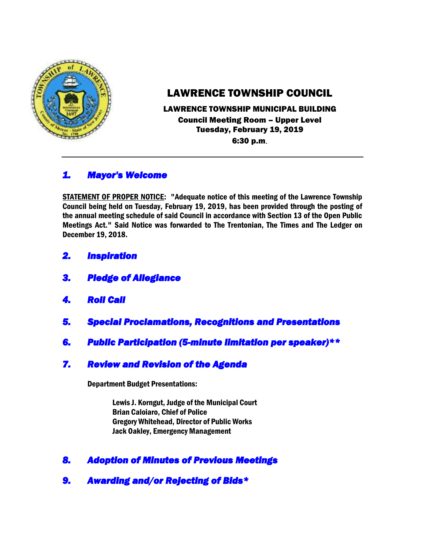

# LAWRENCE TOWNSHIP COUNCIL

# LAWRENCE TOWNSHIP MUNICIPAL BUILDING Council Meeting Room – Upper Level Tuesday, February 19, 2019

6:30 p.m.

# *1. Mayor's Welcome*

STATEMENT OF PROPER NOTICE: "Adequate notice of this meeting of the Lawrence Township Council being held on Tuesday, February 19, 2019, has been provided through the posting of the annual meeting schedule of said Council in accordance with Section 13 of the Open Public Meetings Act." Said Notice was forwarded to The Trentonian, The Times and The Ledger on December 19, 2018.

- *2. Inspiration*
- *3. Pledge of Allegiance*
- *4. Roll Call*
- *5. Special Proclamations, Recognitions and Presentations*
- *6. Public Participation (5-minute limitation per speaker)\*\**
- *7. Review and Revision of the Agenda*

Department Budget Presentations:

Lewis J. Korngut, Judge of the Municipal Court Brian Caloiaro, Chief of Police Gregory Whitehead, Director of Public Works Jack Oakley, Emergency Management

# *8. Adoption of Minutes of Previous Meetings*

*9. Awarding and/or Rejecting of Bids\**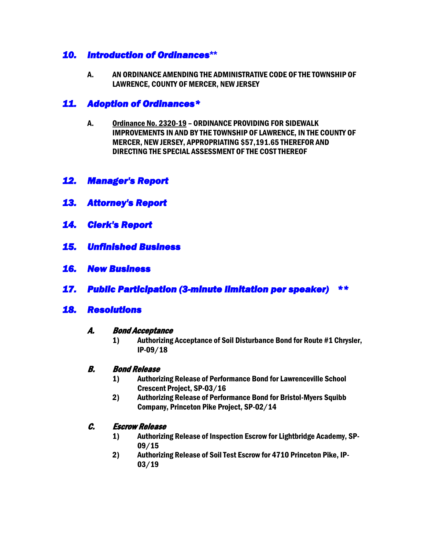## *10. Introduction of Ordinances***\*\***

A. AN ORDINANCE AMENDING THE ADMINISTRATIVE CODE OF THE TOWNSHIP OF LAWRENCE, COUNTY OF MERCER, NEW JERSEY

## *11. Adoption of Ordinances\**

- A. Ordinance No. 2320-19 ORDINANCE PROVIDING FOR SIDEWALK IMPROVEMENTS IN AND BY THE TOWNSHIP OF LAWRENCE, IN THE COUNTY OF MERCER, NEW JERSEY, APPROPRIATING \$57,191.65 THEREFOR AND DIRECTING THE SPECIAL ASSESSMENT OF THE COST THEREOF
- *12. Manager's Report*
- *13. Attorney's Report*
- *14. Clerk's Report*
- *15. Unfinished Business*
- *16. New Business*
- *17. Public Participation (3-minute limitation per speaker) \*\**

#### *18. Resolutions*

#### A. Bond Acceptance

1) Authorizing Acceptance of Soil Disturbance Bond for Route #1 Chrysler, IP-09/18

#### B. Bond Release

- 1) Authorizing Release of Performance Bond for Lawrenceville School Crescent Project, SP-03/16
- 2) Authorizing Release of Performance Bond for Bristol-Myers Squibb Company, Princeton Pike Project, SP-02/14

#### C. Escrow Release

- 1) Authorizing Release of Inspection Escrow for Lightbridge Academy, SP-09/15
- 2) Authorizing Release of Soil Test Escrow for 4710 Princeton Pike, IP-03/19